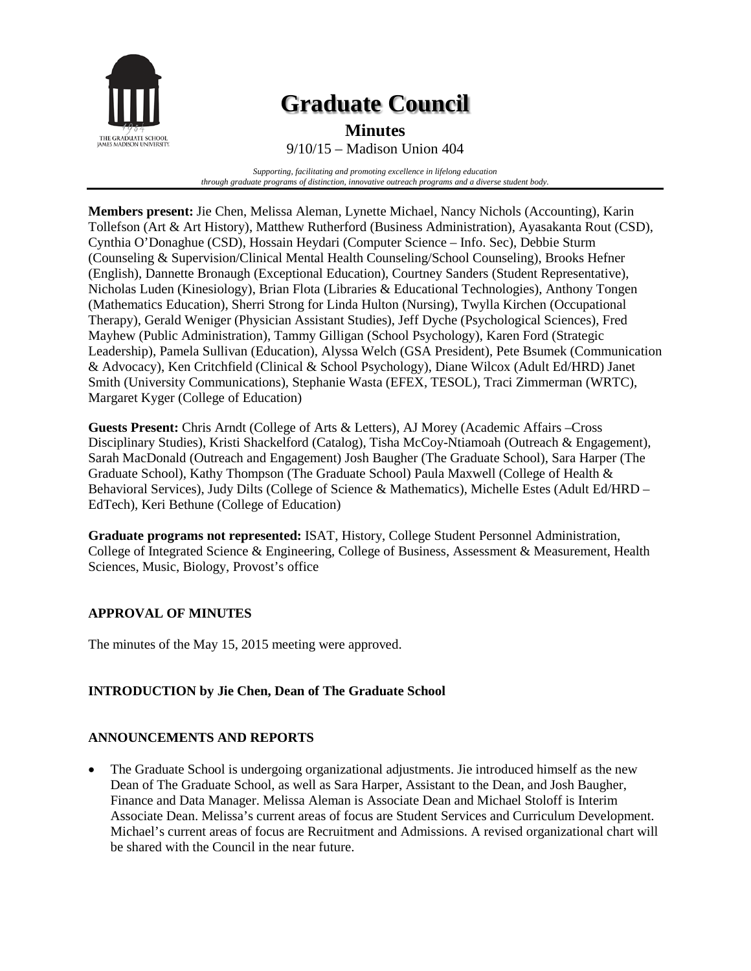

# **Graduate Council**

**Minutes**

9/10/15 – Madison Union 404

*Supporting, facilitating and promoting excellence in lifelong education through graduate programs of distinction, innovative outreach programs and a diverse student body.*

**Members present:** Jie Chen, Melissa Aleman, Lynette Michael, Nancy Nichols (Accounting), Karin Tollefson (Art & Art History), Matthew Rutherford (Business Administration), Ayasakanta Rout (CSD), Cynthia O'Donaghue (CSD), Hossain Heydari (Computer Science – Info. Sec), Debbie Sturm (Counseling & Supervision/Clinical Mental Health Counseling/School Counseling), Brooks Hefner (English), Dannette Bronaugh (Exceptional Education), Courtney Sanders (Student Representative), Nicholas Luden (Kinesiology), Brian Flota (Libraries & Educational Technologies), Anthony Tongen (Mathematics Education), Sherri Strong for Linda Hulton (Nursing), Twylla Kirchen (Occupational Therapy), Gerald Weniger (Physician Assistant Studies), Jeff Dyche (Psychological Sciences), Fred Mayhew (Public Administration), Tammy Gilligan (School Psychology), Karen Ford (Strategic Leadership), Pamela Sullivan (Education), Alyssa Welch (GSA President), Pete Bsumek (Communication & Advocacy), Ken Critchfield (Clinical & School Psychology), Diane Wilcox (Adult Ed/HRD) Janet Smith (University Communications), Stephanie Wasta (EFEX, TESOL), Traci Zimmerman (WRTC), Margaret Kyger (College of Education)

**Guests Present:** Chris Arndt (College of Arts & Letters), AJ Morey (Academic Affairs –Cross Disciplinary Studies), Kristi Shackelford (Catalog), Tisha McCoy-Ntiamoah (Outreach & Engagement), Sarah MacDonald (Outreach and Engagement) Josh Baugher (The Graduate School), Sara Harper (The Graduate School), Kathy Thompson (The Graduate School) Paula Maxwell (College of Health & Behavioral Services), Judy Dilts (College of Science & Mathematics), Michelle Estes (Adult Ed/HRD – EdTech), Keri Bethune (College of Education)

**Graduate programs not represented:** ISAT, History, College Student Personnel Administration, College of Integrated Science & Engineering, College of Business, Assessment & Measurement, Health Sciences, Music, Biology, Provost's office

## **APPROVAL OF MINUTES**

The minutes of the May 15, 2015 meeting were approved.

#### **INTRODUCTION by Jie Chen, Dean of The Graduate School**

#### **ANNOUNCEMENTS AND REPORTS**

• The Graduate School is undergoing organizational adjustments. Jie introduced himself as the new Dean of The Graduate School, as well as Sara Harper, Assistant to the Dean, and Josh Baugher, Finance and Data Manager. Melissa Aleman is Associate Dean and Michael Stoloff is Interim Associate Dean. Melissa's current areas of focus are Student Services and Curriculum Development. Michael's current areas of focus are Recruitment and Admissions. A revised organizational chart will be shared with the Council in the near future.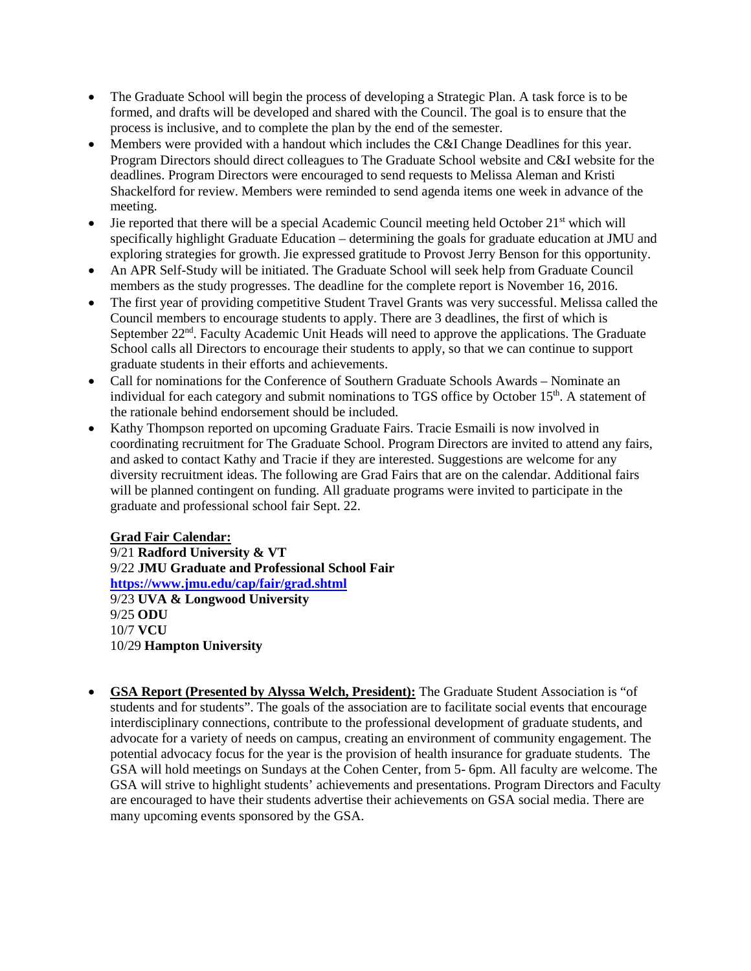- The Graduate School will begin the process of developing a Strategic Plan. A task force is to be formed, and drafts will be developed and shared with the Council. The goal is to ensure that the process is inclusive, and to complete the plan by the end of the semester.
- Members were provided with a handout which includes the C&I Change Deadlines for this year. Program Directors should direct colleagues to The Graduate School website and C&I website for the deadlines. Program Directors were encouraged to send requests to Melissa Aleman and Kristi Shackelford for review. Members were reminded to send agenda items one week in advance of the meeting.
- Jie reported that there will be a special Academic Council meeting held October 21st which will specifically highlight Graduate Education – determining the goals for graduate education at JMU and exploring strategies for growth. Jie expressed gratitude to Provost Jerry Benson for this opportunity.
- An APR Self-Study will be initiated. The Graduate School will seek help from Graduate Council members as the study progresses. The deadline for the complete report is November 16, 2016.
- The first year of providing competitive Student Travel Grants was very successful. Melissa called the Council members to encourage students to apply. There are 3 deadlines, the first of which is September  $22<sup>nd</sup>$ . Faculty Academic Unit Heads will need to approve the applications. The Graduate School calls all Directors to encourage their students to apply, so that we can continue to support graduate students in their efforts and achievements.
- Call for nominations for the Conference of Southern Graduate Schools Awards Nominate an individual for each category and submit nominations to TGS office by October 15<sup>th</sup>. A statement of the rationale behind endorsement should be included.
- Kathy Thompson reported on upcoming Graduate Fairs. Tracie Esmaili is now involved in coordinating recruitment for The Graduate School. Program Directors are invited to attend any fairs, and asked to contact Kathy and Tracie if they are interested. Suggestions are welcome for any diversity recruitment ideas. The following are Grad Fairs that are on the calendar. Additional fairs will be planned contingent on funding. All graduate programs were invited to participate in the graduate and professional school fair Sept. 22.

**Grad Fair Calendar:** 9/21 **Radford University & VT** 9/22 **JMU Graduate and Professional School Fair <https://www.jmu.edu/cap/fair/grad.shtml>** 9/23 **UVA & Longwood University** 9/25 **ODU** 10/7 **VCU** 10/29 **Hampton University**

• **GSA Report (Presented by Alyssa Welch, President):** The Graduate Student Association is "of students and for students". The goals of the association are to facilitate social events that encourage interdisciplinary connections, contribute to the professional development of graduate students, and advocate for a variety of needs on campus, creating an environment of community engagement. The potential advocacy focus for the year is the provision of health insurance for graduate students. The GSA will hold meetings on Sundays at the Cohen Center, from 5- 6pm. All faculty are welcome. The GSA will strive to highlight students' achievements and presentations. Program Directors and Faculty are encouraged to have their students advertise their achievements on GSA social media. There are many upcoming events sponsored by the GSA.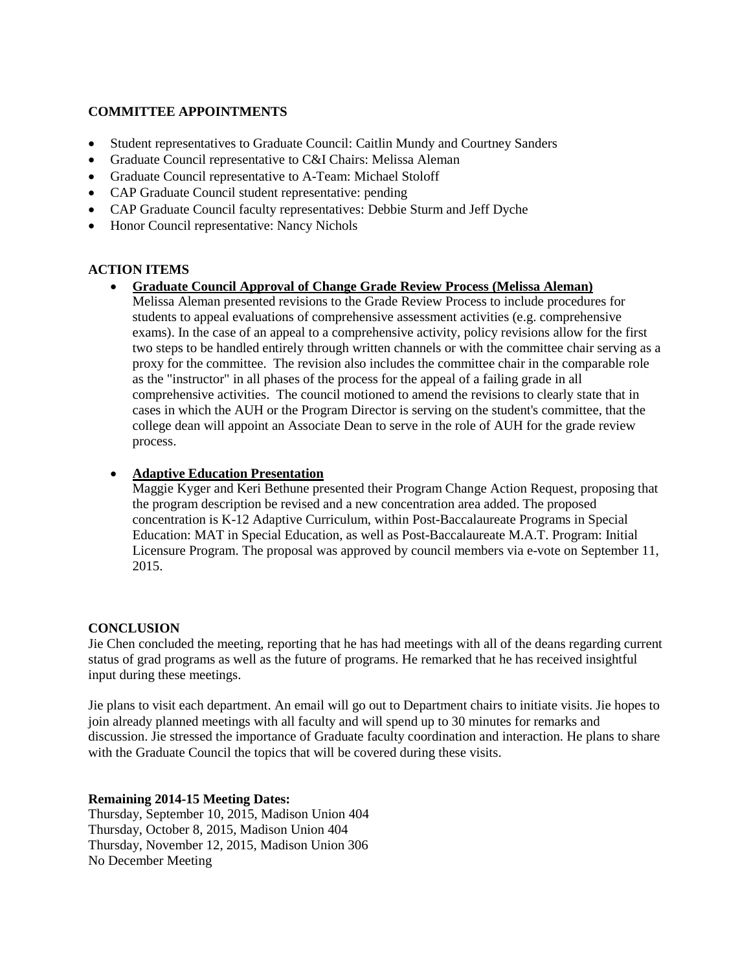#### **COMMITTEE APPOINTMENTS**

- Student representatives to Graduate Council: Caitlin Mundy and Courtney Sanders
- Graduate Council representative to C&I Chairs: Melissa Aleman
- Graduate Council representative to A-Team: Michael Stoloff
- CAP Graduate Council student representative: pending
- CAP Graduate Council faculty representatives: Debbie Sturm and Jeff Dyche
- Honor Council representative: Nancy Nichols

### **ACTION ITEMS**

• **Graduate Council Approval of Change Grade Review Process (Melissa Aleman)** Melissa Aleman presented revisions to the Grade Review Process to include procedures for students to appeal evaluations of comprehensive assessment activities (e.g. comprehensive exams). In the case of an appeal to a comprehensive activity, policy revisions allow for the first two steps to be handled entirely through written channels or with the committee chair serving as a proxy for the committee. The revision also includes the committee chair in the comparable role as the "instructor" in all phases of the process for the appeal of a failing grade in all comprehensive activities. The council motioned to amend the revisions to clearly state that in cases in which the AUH or the Program Director is serving on the student's committee, that the college dean will appoint an Associate Dean to serve in the role of AUH for the grade review process.

#### • **Adaptive Education Presentation**

Maggie Kyger and Keri Bethune presented their Program Change Action Request, proposing that the program description be revised and a new concentration area added. The proposed concentration is K-12 Adaptive Curriculum, within Post-Baccalaureate Programs in Special Education: MAT in Special Education, as well as Post-Baccalaureate M.A.T. Program: Initial Licensure Program. The proposal was approved by council members via e-vote on September 11, 2015.

#### **CONCLUSION**

Jie Chen concluded the meeting, reporting that he has had meetings with all of the deans regarding current status of grad programs as well as the future of programs. He remarked that he has received insightful input during these meetings.

Jie plans to visit each department. An email will go out to Department chairs to initiate visits. Jie hopes to join already planned meetings with all faculty and will spend up to 30 minutes for remarks and discussion. Jie stressed the importance of Graduate faculty coordination and interaction. He plans to share with the Graduate Council the topics that will be covered during these visits.

#### **Remaining 2014-15 Meeting Dates:**

Thursday, September 10, 2015, Madison Union 404 Thursday, October 8, 2015, Madison Union 404 Thursday, November 12, 2015, Madison Union 306 No December Meeting